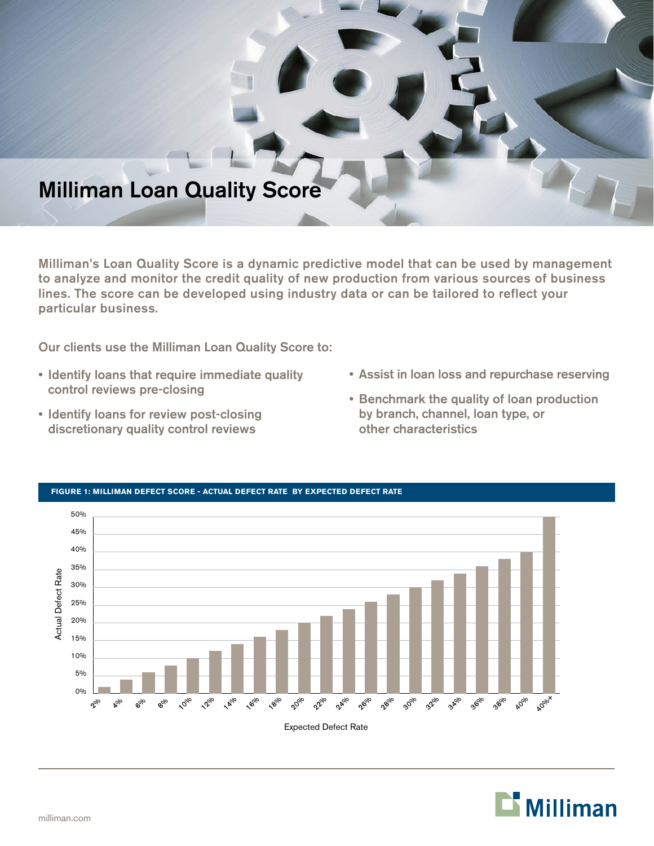# Milliman Loan Quality Score

Milliman's Loan Quality Score is a dynamic predictive model that can be used by management to analyze and monitor the credit quality of new production from various sources of business lines. The score can be developed using industry data or can be tailored to reflect your particular business.

Our clients use the Milliman Loan Quality Score to:

- Identify loans that require immediate quality control reviews pre-closing
- Identify loans for review post-closing discretionary quality control reviews
- Assist in loan loss and repurchase reserving
- Benchmark the quality of loan production by branch, channel, loan type, or other characteristics